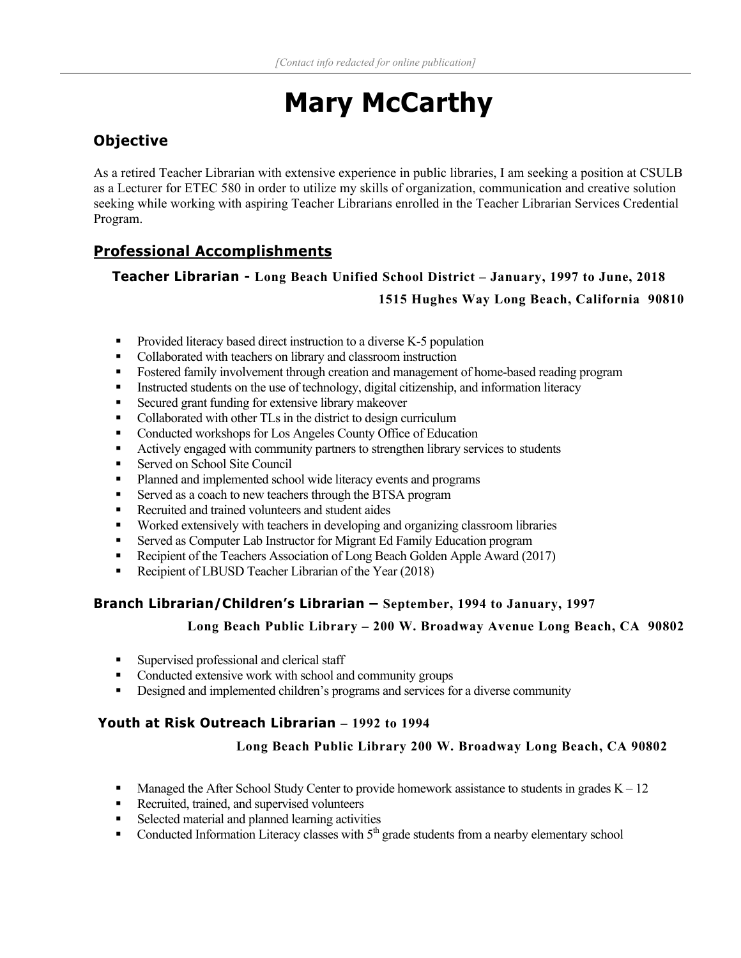# **Mary McCarthy**

# **Objective**

As a retired Teacher Librarian with extensive experience in public libraries, I am seeking a position at CSULB as a Lecturer for ETEC 580 in order to utilize my skills of organization, communication and creative solution seeking while working with aspiring Teacher Librarians enrolled in the Teacher Librarian Services Credential Program.

# **Professional Accomplishments**

## **Teacher Librarian - Long Beach Unified School District – January, 1997 to June, 2018 1515 Hughes Way Long Beach, California 90810**

- **Provided literacy based direct instruction to a diverse K-5 population**
- Collaborated with teachers on library and classroom instruction
- Fostered family involvement through creation and management of home-based reading program
- Instructed students on the use of technology, digital citizenship, and information literacy
- Secured grant funding for extensive library makeover
- Collaborated with other TLs in the district to design curriculum
- Conducted workshops for Los Angeles County Office of Education
- Actively engaged with community partners to strengthen library services to students
- Served on School Site Council
- Planned and implemented school wide literacy events and programs
- Served as a coach to new teachers through the BTSA program
- Recruited and trained volunteers and student aides
- **Worked extensively with teachers in developing and organizing classroom libraries**
- Served as Computer Lab Instructor for Migrant Ed Family Education program
- Recipient of the Teachers Association of Long Beach Golden Apple Award (2017)
- Recipient of LBUSD Teacher Librarian of the Year (2018)

#### **Branch Librarian/Children's Librarian – September, 1994 to January, 1997**

#### **Long Beach Public Library – 200 W. Broadway Avenue Long Beach, CA 90802**

- Supervised professional and clerical staff
- Conducted extensive work with school and community groups
- **•** Designed and implemented children's programs and services for a diverse community

### **Youth at Risk Outreach Librarian – 1992 to 1994**

#### **Long Beach Public Library 200 W. Broadway Long Beach, CA 90802**

- Managed the After School Study Center to provide homework assistance to students in grades  $K 12$
- Recruited, trained, and supervised volunteers
- Selected material and planned learning activities
- Conducted Information Literacy classes with  $5<sup>th</sup>$  grade students from a nearby elementary school